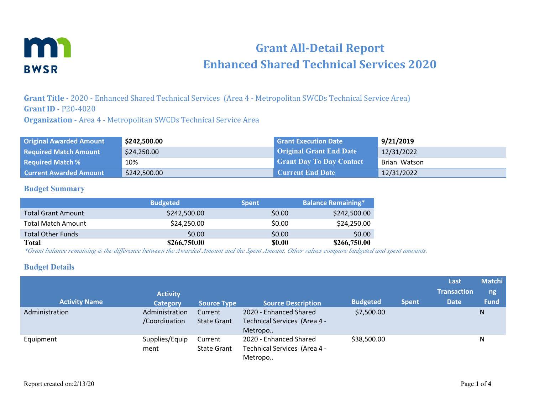

# **Grant All-Detail Report Enhanced Shared Technical Services 2020**

**Grant Title -** 2020 - Enhanced Shared Technical Services (Area 4 - Metropolitan SWCDs Technical Service Area) **Grant ID** - P20-4020

**Organization -** Area 4 - Metropolitan SWCDs Technical Service Area

| <b>Original Awarded Amount</b> | \$242,500.00 | <b>Grant Execution Date</b>     | 9/21/2019    |
|--------------------------------|--------------|---------------------------------|--------------|
| <b>Required Match Amount</b>   | \$24,250.00  | <b>Original Grant End Date</b>  | 12/31/2022   |
| <b>Required Match %</b>        | 10%          | <b>Grant Day To Day Contact</b> | Brian Watson |
| <b>Current Awarded Amount</b>  | \$242,500.00 | <b>Current End Date</b>         | 12/31/2022   |

#### **Budget Summary**

|                           | <b>Budgeted</b> | <b>Spent</b> | <b>Balance Remaining*</b> |
|---------------------------|-----------------|--------------|---------------------------|
| <b>Total Grant Amount</b> | \$242,500.00    | \$0.00       | \$242,500.00              |
| <b>Total Match Amount</b> | \$24,250.00     | \$0.00       | \$24,250.00               |
| <b>Total Other Funds</b>  | \$0.00          | \$0.00       | \$0.00                    |
| <b>Total</b>              | \$266,750.00    | <b>SO.00</b> | \$266,750.00              |

*\*Grant balance remaining is the difference between the Awarded Amount and the Spent Amount. Other values compare budgeted and spent amounts.*

#### **Budget Details**

| <b>Activity Name</b> | <b>Activity</b><br><b>Category</b> | <b>Source Type</b>            | <b>Source Description</b>                                         | <b>Budgeted</b> | <b>Spent</b> | Last<br><b>Transaction</b><br><b>Date</b> | <b>Matchi</b><br>ng<br><b>Fund</b> |
|----------------------|------------------------------------|-------------------------------|-------------------------------------------------------------------|-----------------|--------------|-------------------------------------------|------------------------------------|
| Administration       | Administration<br>/Coordination    | Current<br><b>State Grant</b> | 2020 - Enhanced Shared<br>Technical Services (Area 4 -<br>Metropo | \$7,500.00      |              |                                           | N                                  |
| Equipment            | Supplies/Equip<br>ment             | Current<br><b>State Grant</b> | 2020 - Enhanced Shared<br>Technical Services (Area 4 -<br>Metropo | \$38,500.00     |              |                                           | Ν                                  |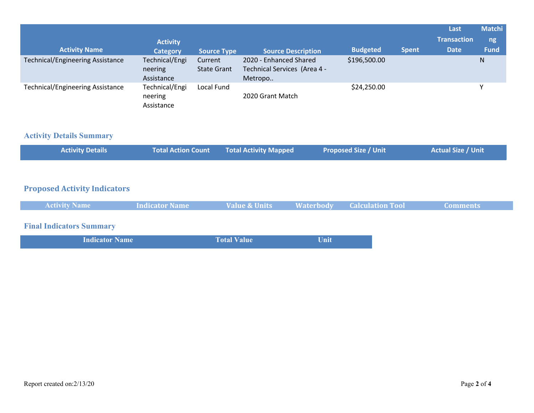| <b>Activity Name</b>                    | <b>Activity</b><br><b>Category</b>      | <b>Source Type</b>            | <b>Source Description</b>                                         | <b>Budgeted</b> | <b>Spent</b> | Last<br><b>Transaction</b><br><b>Date</b> | <b>Matchi</b><br>ng<br><b>Fund</b> |
|-----------------------------------------|-----------------------------------------|-------------------------------|-------------------------------------------------------------------|-----------------|--------------|-------------------------------------------|------------------------------------|
| <b>Technical/Engineering Assistance</b> | Technical/Engi<br>neering<br>Assistance | Current<br><b>State Grant</b> | 2020 - Enhanced Shared<br>Technical Services (Area 4 -<br>Metropo | \$196,500.00    |              |                                           | N                                  |
| <b>Technical/Engineering Assistance</b> | Technical/Engi<br>neering<br>Assistance | Local Fund                    | 2020 Grant Match                                                  | \$24,250.00     |              |                                           |                                    |

# **Activity Details Summary**

|  | <b>Activity Details</b> |  | Total Action Count Total Activity Mapped | <b>Proposed Size / Unit</b> | <b>Actual Size / Unit</b> |
|--|-------------------------|--|------------------------------------------|-----------------------------|---------------------------|
|--|-------------------------|--|------------------------------------------|-----------------------------|---------------------------|

### **Proposed Activity Indicators**

| <b>Activity Name</b>            | <b>Indicator Name</b> | <b>Value &amp; Units</b> | <b>Waterbody</b> | <b>Calculation Tool</b> | <b>Comments</b> |
|---------------------------------|-----------------------|--------------------------|------------------|-------------------------|-----------------|
| <b>Final Indicators Summary</b> |                       |                          |                  |                         |                 |
| <b>Indicator Name</b>           |                       | <b>Total Value</b>       | <b>Unit</b>      |                         |                 |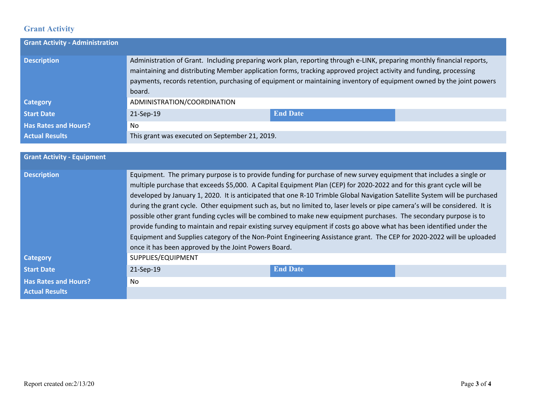# **Grant Activity**

| <b>Grant Activity - Administration</b> |                                                                                                                                                                                                                                                                                                                                                                               |                 |  |
|----------------------------------------|-------------------------------------------------------------------------------------------------------------------------------------------------------------------------------------------------------------------------------------------------------------------------------------------------------------------------------------------------------------------------------|-----------------|--|
| <b>Description</b>                     | Administration of Grant. Including preparing work plan, reporting through e-LINK, preparing monthly financial reports,<br>maintaining and distributing Member application forms, tracking approved project activity and funding, processing<br>payments, records retention, purchasing of equipment or maintaining inventory of equipment owned by the joint powers<br>board. |                 |  |
| <b>Category</b>                        | ADMINISTRATION/COORDINATION                                                                                                                                                                                                                                                                                                                                                   |                 |  |
| <b>Start Date</b>                      | 21-Sep-19                                                                                                                                                                                                                                                                                                                                                                     | <b>End Date</b> |  |
| <b>Has Rates and Hours?</b>            | No                                                                                                                                                                                                                                                                                                                                                                            |                 |  |
| <b>Actual Results</b>                  | This grant was executed on September 21, 2019.                                                                                                                                                                                                                                                                                                                                |                 |  |

| <b>Grant Activity - Equipment</b> |                                                                                                                                                                                                                                                                                                                                                                                                                                                                                                                                                                                                                                                                                                                                                                                                                                                                                                                                          |                 |  |
|-----------------------------------|------------------------------------------------------------------------------------------------------------------------------------------------------------------------------------------------------------------------------------------------------------------------------------------------------------------------------------------------------------------------------------------------------------------------------------------------------------------------------------------------------------------------------------------------------------------------------------------------------------------------------------------------------------------------------------------------------------------------------------------------------------------------------------------------------------------------------------------------------------------------------------------------------------------------------------------|-----------------|--|
| <b>Description</b>                | Equipment. The primary purpose is to provide funding for purchase of new survey equipment that includes a single or<br>multiple purchase that exceeds \$5,000. A Capital Equipment Plan (CEP) for 2020-2022 and for this grant cycle will be<br>developed by January 1, 2020. It is anticipated that one R-10 Trimble Global Navigation Satellite System will be purchased<br>during the grant cycle. Other equipment such as, but no limited to, laser levels or pipe camera's will be considered. It is<br>possible other grant funding cycles will be combined to make new equipment purchases. The secondary purpose is to<br>provide funding to maintain and repair existing survey equipment if costs go above what has been identified under the<br>Equipment and Supplies category of the Non-Point Engineering Assistance grant. The CEP for 2020-2022 will be uploaded<br>once it has been approved by the Joint Powers Board. |                 |  |
| <b>Category</b>                   | SUPPLIES/EQUIPMENT                                                                                                                                                                                                                                                                                                                                                                                                                                                                                                                                                                                                                                                                                                                                                                                                                                                                                                                       |                 |  |
| <b>Start Date</b>                 | 21-Sep-19                                                                                                                                                                                                                                                                                                                                                                                                                                                                                                                                                                                                                                                                                                                                                                                                                                                                                                                                | <b>End Date</b> |  |
| <b>Has Rates and Hours?</b>       | No                                                                                                                                                                                                                                                                                                                                                                                                                                                                                                                                                                                                                                                                                                                                                                                                                                                                                                                                       |                 |  |
| <b>Actual Results</b>             |                                                                                                                                                                                                                                                                                                                                                                                                                                                                                                                                                                                                                                                                                                                                                                                                                                                                                                                                          |                 |  |